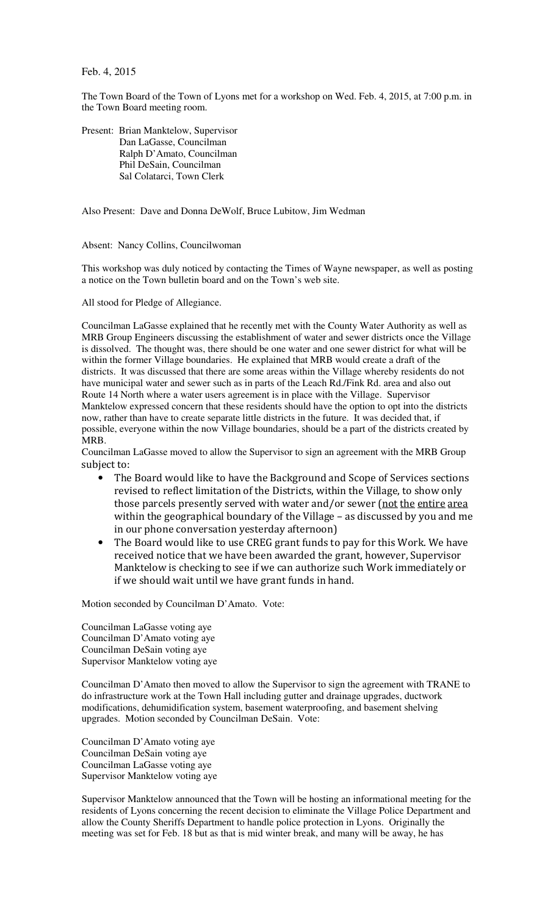Feb. 4, 2015

The Town Board of the Town of Lyons met for a workshop on Wed. Feb. 4, 2015, at 7:00 p.m. in the Town Board meeting room.

Present: Brian Manktelow, Supervisor Dan LaGasse, Councilman Ralph D'Amato, Councilman Phil DeSain, Councilman Sal Colatarci, Town Clerk

Also Present: Dave and Donna DeWolf, Bruce Lubitow, Jim Wedman

Absent: Nancy Collins, Councilwoman

This workshop was duly noticed by contacting the Times of Wayne newspaper, as well as posting a notice on the Town bulletin board and on the Town's web site.

All stood for Pledge of Allegiance.

Councilman LaGasse explained that he recently met with the County Water Authority as well as MRB Group Engineers discussing the establishment of water and sewer districts once the Village is dissolved. The thought was, there should be one water and one sewer district for what will be within the former Village boundaries. He explained that MRB would create a draft of the districts. It was discussed that there are some areas within the Village whereby residents do not have municipal water and sewer such as in parts of the Leach Rd./Fink Rd. area and also out Route 14 North where a water users agreement is in place with the Village. Supervisor Manktelow expressed concern that these residents should have the option to opt into the districts now, rather than have to create separate little districts in the future. It was decided that, if possible, everyone within the now Village boundaries, should be a part of the districts created by MRB.

Councilman LaGasse moved to allow the Supervisor to sign an agreement with the MRB Group subject to:

- The Board would like to have the Background and Scope of Services sections revised to reflect limitation of the Districts, within the Village, to show only those parcels presently served with water and/or sewer (not the entire area within the geographical boundary of the Village – as discussed by you and me in our phone conversation yesterday afternoon)
- The Board would like to use CREG grant funds to pay for this Work. We have received notice that we have been awarded the grant, however, Supervisor Manktelow is checking to see if we can authorize such Work immediately or if we should wait until we have grant funds in hand.

Motion seconded by Councilman D'Amato. Vote:

Councilman LaGasse voting aye Councilman D'Amato voting aye Councilman DeSain voting aye Supervisor Manktelow voting aye

Councilman D'Amato then moved to allow the Supervisor to sign the agreement with TRANE to do infrastructure work at the Town Hall including gutter and drainage upgrades, ductwork modifications, dehumidification system, basement waterproofing, and basement shelving upgrades. Motion seconded by Councilman DeSain. Vote:

Councilman D'Amato voting aye Councilman DeSain voting aye Councilman LaGasse voting aye Supervisor Manktelow voting aye

Supervisor Manktelow announced that the Town will be hosting an informational meeting for the residents of Lyons concerning the recent decision to eliminate the Village Police Department and allow the County Sheriffs Department to handle police protection in Lyons. Originally the meeting was set for Feb. 18 but as that is mid winter break, and many will be away, he has